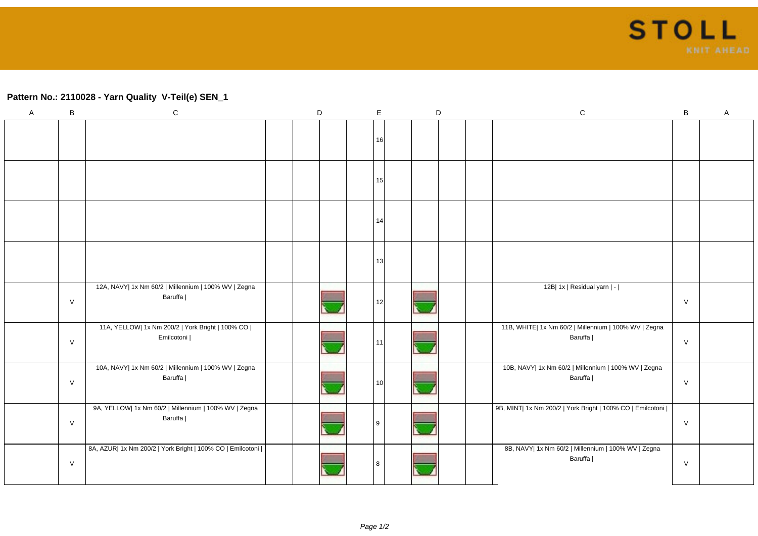## **Pattern No.: 2110028 - Yarn Quality V-Teil(e) SEN\_1**

| A | В      | ${\bf C}$                                                        | D | $\mathsf E$     |  | $\mathsf D$ |  | ${\bf C}$                                                        |           | A |
|---|--------|------------------------------------------------------------------|---|-----------------|--|-------------|--|------------------------------------------------------------------|-----------|---|
|   |        |                                                                  |   | 16              |  |             |  |                                                                  |           |   |
|   |        |                                                                  |   | 15              |  |             |  |                                                                  |           |   |
|   |        |                                                                  |   | 14              |  |             |  |                                                                  |           |   |
|   |        |                                                                  |   | 13              |  |             |  |                                                                  |           |   |
|   | $\vee$ | 12A, NAVY  1x Nm 60/2   Millennium   100% WV   Zegna<br>Baruffa  |   | 12              |  |             |  | 12B  1x   Residual yarn   -                                      | $\vee$    |   |
|   | $\vee$ | 11A, YELLOW  1x Nm 200/2   York Bright   100% CO  <br>Emilcotoni |   | 11              |  |             |  | 11B, WHITE  1x Nm 60/2   Millennium   100% WV   Zegna<br>Baruffa | $\vee$    |   |
|   | $\vee$ | 10A, NAVY  1x Nm 60/2   Millennium   100% WV   Zegna<br>Baruffa  |   | 10 <sup>1</sup> |  |             |  | 10B, NAVY  1x Nm 60/2   Millennium   100% WV   Zegna<br>Baruffa  | $\vee$    |   |
|   | $\vee$ | 9A, YELLOW  1x Nm 60/2   Millennium   100% WV   Zegna<br>Baruffa |   | <u>g</u>        |  |             |  | 9B, MINT  1x Nm 200/2   York Bright   100% CO   Emilcotoni       | ${\sf V}$ |   |
|   | V      | 8A, AZUR  1x Nm 200/2   York Bright   100% CO   Emilcotoni       |   | 8               |  |             |  | 8B, NAVY  1x Nm 60/2   Millennium   100% WV   Zegna<br>Baruffa   | $\vee$    |   |